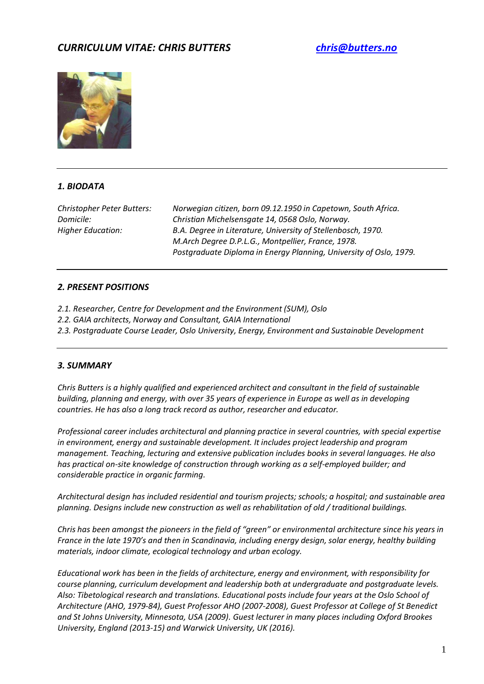# *CURRICULUM VITAE: CHRIS BUTTERS [chris@butters.no](mailto:chris@butters.no)*



# *1. BIODATA*

*Christopher Peter Butters: Norwegian citizen, born 09.12.1950 in Capetown, South Africa. Domicile: Christian Michelsensgate 14, 0568 Oslo, Norway. Higher Education: B.A. Degree in Literature, University of Stellenbosch, 1970. M.Arch Degree D.P.L.G., Montpellier, France, 1978. Postgraduate Diploma in Energy Planning, University of Oslo, 1979.*

# *2. PRESENT POSITIONS*

- *2.1. Researcher, Centre for Development and the Environment (SUM), Oslo*
- *2.2. GAIA architects, Norway and Consultant, GAIA International*
- *2.3. Postgraduate Course Leader, Oslo University, Energy, Environment and Sustainable Development*

# *3. SUMMARY*

*Chris Butters is a highly qualified and experienced architect and consultant in the field of sustainable building, planning and energy, with over 35 years of experience in Europe as well as in developing countries. He has also a long track record as author, researcher and educator.*

*Professional career includes architectural and planning practice in several countries, with special expertise in environment, energy and sustainable development. It includes project leadership and program management. Teaching, lecturing and extensive publication includes books in several languages. He also has practical on-site knowledge of construction through working as a self-employed builder; and considerable practice in organic farming.* 

*Architectural design has included residential and tourism projects; schools; a hospital; and sustainable area planning. Designs include new construction as well as rehabilitation of old / traditional buildings.*

*Chris has been amongst the pioneers in the field of "green" or environmental architecture since his years in France in the late 1970's and then in Scandinavia, including energy design, solar energy, healthy building materials, indoor climate, ecological technology and urban ecology.* 

*Educational work has been in the fields of architecture, energy and environment, with responsibility for course planning, curriculum development and leadership both at undergraduate and postgraduate levels. Also: Tibetological research and translations. Educational posts include four years at the Oslo School of Architecture (AHO, 1979-84), Guest Professor AHO (2007-2008), Guest Professor at College of St Benedict and St Johns University, Minnesota, USA (2009). Guest lecturer in many places including Oxford Brookes University, England (2013-15) and Warwick University, UK (2016).*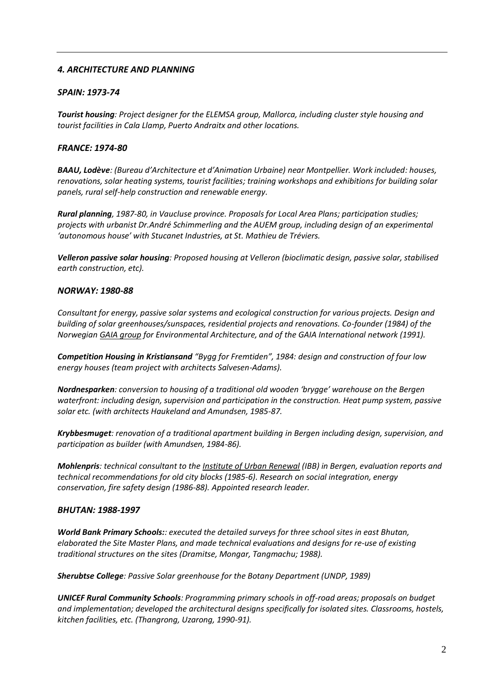# *4. ARCHITECTURE AND PLANNING*

### *SPAIN: 1973-74*

*Tourist housing: Project designer for the ELEMSA group, Mallorca, including cluster style housing and tourist facilities in Cala Llamp, Puerto Andraitx and other locations.*

#### *FRANCE: 1974-80*

*BAAU, Lodève: (Bureau d'Architecture et d'Animation Urbaine) near Montpellier. Work included: houses, renovations, solar heating systems, tourist facilities; training workshops and exhibitions for building solar panels, rural self-help construction and renewable energy.*

*Rural planning, 1987-80, in Vaucluse province. Proposals for Local Area Plans; participation studies; projects with urbanist Dr.André Schimmerling and the AUEM group, including design of an experimental 'autonomous house' with Stucanet Industries, at St. Mathieu de Tréviers.* 

*Velleron passive solar housing: Proposed housing at Velleron (bioclimatic design, passive solar, stabilised earth construction, etc).*

#### *NORWAY: 1980-88*

*Consultant for energy, passive solar systems and ecological construction for various projects. Design and building of solar greenhouses/sunspaces, residential projects and renovations. Co-founder (1984) of the Norwegian GAIA group for Environmental Architecture, and of the GAIA International network (1991).* 

*Competition Housing in Kristiansand "Bygg for Fremtiden", 1984: design and construction of four low energy houses (team project with architects Salvesen-Adams).*

*Nordnesparken: conversion to housing of a traditional old wooden 'brygge' warehouse on the Bergen waterfront: including design, supervision and participation in the construction. Heat pump system, passive solar etc. (with architects Haukeland and Amundsen, 1985-87.*

*Krybbesmuget: renovation of a traditional apartment building in Bergen including design, supervision, and participation as builder (with Amundsen, 1984-86).*

*Mohlenpris: technical consultant to the Institute of Urban Renewal (IBB) in Bergen, evaluation reports and technical recommendations for old city blocks (1985-6). Research on social integration, energy conservation, fire safety design (1986-88). Appointed research leader.*

#### *BHUTAN: 1988-1997*

*World Bank Primary Schools:: executed the detailed surveys for three school sites in east Bhutan, elaborated the Site Master Plans, and made technical evaluations and designs for re-use of existing traditional structures on the sites (Dramitse, Mongar, Tangmachu; 1988).*

*Sherubtse College: Passive Solar greenhouse for the Botany Department (UNDP, 1989)*

*UNICEF Rural Community Schools: Programming primary schools in off-road areas; proposals on budget and implementation; developed the architectural designs specifically for isolated sites. Classrooms, hostels, kitchen facilities, etc. (Thangrong, Uzarong, 1990-91).*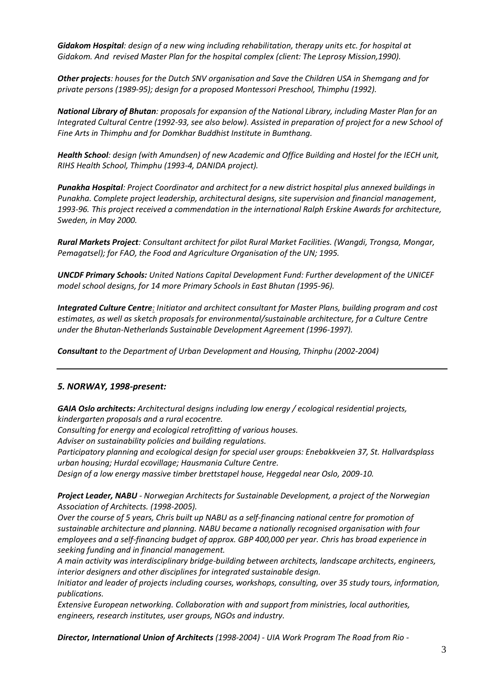*Gidakom Hospital: design of a new wing including rehabilitation, therapy units etc. for hospital at Gidakom. And revised Master Plan for the hospital complex (client: The Leprosy Mission,1990).*

*Other projects: houses for the Dutch SNV organisation and Save the Children USA in Shemgang and for private persons (1989-95); design for a proposed Montessori Preschool, Thimphu (1992).*

*National Library of Bhutan: proposals for expansion of the National Library, including Master Plan for an Integrated Cultural Centre (1992-93, see also below). Assisted in preparation of project for a new School of Fine Arts in Thimphu and for Domkhar Buddhist Institute in Bumthang.*

*Health School: design (with Amundsen) of new Academic and Office Building and Hostel for the IECH unit, RIHS Health School, Thimphu (1993-4, DANIDA project).*

*Punakha Hospital: Project Coordinator and architect for a new district hospital plus annexed buildings in Punakha. Complete project leadership, architectural designs, site supervision and financial management, 1993-96. This project received a commendation in the international Ralph Erskine Awards for architecture, Sweden, in May 2000.* 

*Rural Markets Project: Consultant architect for pilot Rural Market Facilities. (Wangdi, Trongsa, Mongar, Pemagatsel); for FAO, the Food and Agriculture Organisation of the UN; 1995.*

*UNCDF Primary Schools: United Nations Capital Development Fund: Further development of the UNICEF model school designs, for 14 more Primary Schools in East Bhutan (1995-96).*

*Integrated Culture Centre: Initiator and architect consultant for Master Plans, building program and cost estimates, as well as sketch proposals for environmental/sustainable architecture, for a Culture Centre under the Bhutan-Netherlands Sustainable Development Agreement (1996-1997).*

*Consultant to the Department of Urban Development and Housing, Thinphu (2002-2004)*

# *5. NORWAY, 1998-present:*

*GAIA Oslo architects: Architectural designs including low energy / ecological residential projects, kindergarten proposals and a rural ecocentre.* 

*Consulting for energy and ecological retrofitting of various houses.*

*Adviser on sustainability policies and building regulations.*

*Participatory planning and ecological design for special user groups: Enebakkveien 37, St. Hallvardsplass urban housing; Hurdal ecovillage; Hausmania Culture Centre.*

*Design of a low energy massive timber brettstapel house, Heggedal near Oslo, 2009-10.*

*Project Leader, NABU - Norwegian Architects for Sustainable Development, a project of the Norwegian Association of Architects. (1998-2005).*

*Over the course of 5 years, Chris built up NABU as a self-financing national centre for promotion of sustainable architecture and planning. NABU became a nationally recognised organisation with four employees and a self-financing budget of approx. GBP 400,000 per year. Chris has broad experience in seeking funding and in financial management.*

*A main activity was interdisciplinary bridge-building between architects, landscape architects, engineers, interior designers and other disciplines for integrated sustainable design.*

*Initiator and leader of projects including courses, workshops, consulting, over 35 study tours, information, publications.* 

*Extensive European networking. Collaboration with and support from ministries, local authorities, engineers, research institutes, user groups, NGOs and industry.*

*Director, International Union of Architects (1998-2004) - UIA Work Program The Road from Rio -*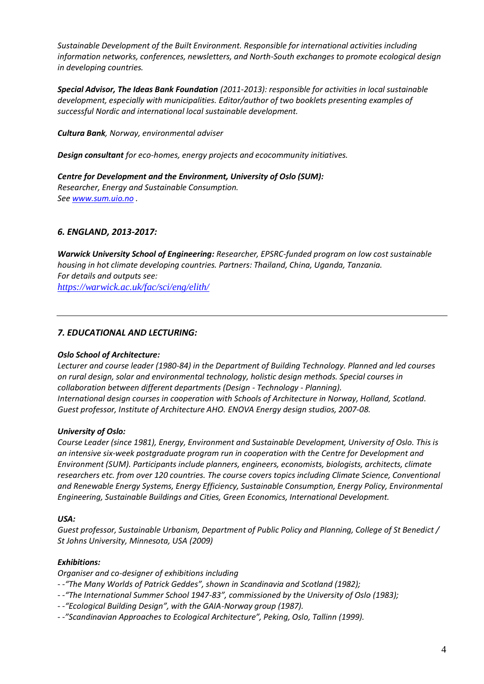*Sustainable Development of the Built Environment. Responsible for international activities including information networks, conferences, newsletters, and North-South exchanges to promote ecological design in developing countries.*

*Special Advisor, The Ideas Bank Foundation (2011-2013): responsible for activities in local sustainable development, especially with municipalities. Editor/author of two booklets presenting examples of successful Nordic and international local sustainable development.*

*Cultura Bank, Norway, environmental adviser*

*Design consultant for eco-homes, energy projects and ecocommunity initiatives.*

*Centre for Development and the Environment, University of Oslo (SUM): Researcher, Energy and Sustainable Consumption. See [www.sum.uio.no](http://www.sum.uio.no/) .*

# *6. ENGLAND, 2013-2017:*

*Warwick University School of Engineering: Researcher, EPSRC-funded program on low cost sustainable housing in hot climate developing countries. Partners: Thailand, China, Uganda, Tanzania. For details and outputs see: <https://warwick.ac.uk/fac/sci/eng/elith/>*

# *7. EDUCATIONAL AND LECTURING:*

# *Oslo School of Architecture:*

*Lecturer and course leader (1980-84) in the Department of Building Technology. Planned and led courses on rural design, solar and environmental technology, holistic design methods. Special courses in collaboration between different departments (Design - Technology - Planning). International design courses in cooperation with Schools of Architecture in Norway, Holland, Scotland. Guest professor, Institute of Architecture AHO. ENOVA Energy design studios, 2007-08.*

# *University of Oslo:*

*Course Leader (since 1981), Energy, Environment and Sustainable Development, University of Oslo. This is an intensive six-week postgraduate program run in cooperation with the Centre for Development and Environment (SUM). Participants include planners, engineers, economists, biologists, architects, climate researchers etc. from over 120 countries. The course covers topics including Climate Science, Conventional and Renewable Energy Systems, Energy Efficiency, Sustainable Consumption, Energy Policy, Environmental Engineering, Sustainable Buildings and Cities, Green Economics, International Development.* 

#### *USA:*

*Guest professor, Sustainable Urbanism, Department of Public Policy and Planning, College of St Benedict / St Johns University, Minnesota, USA (2009)*

# *Exhibitions:*

*Organiser and co-designer of exhibitions including*

- *- -"The Many Worlds of Patrick Geddes", shown in Scandinavia and Scotland (1982);*
- *- -"The International Summer School 1947-83", commissioned by the University of Oslo (1983);*
- *- -"Ecological Building Design", with the GAIA-Norway group (1987).*
- *- -"Scandinavian Approaches to Ecological Architecture", Peking, Oslo, Tallinn (1999).*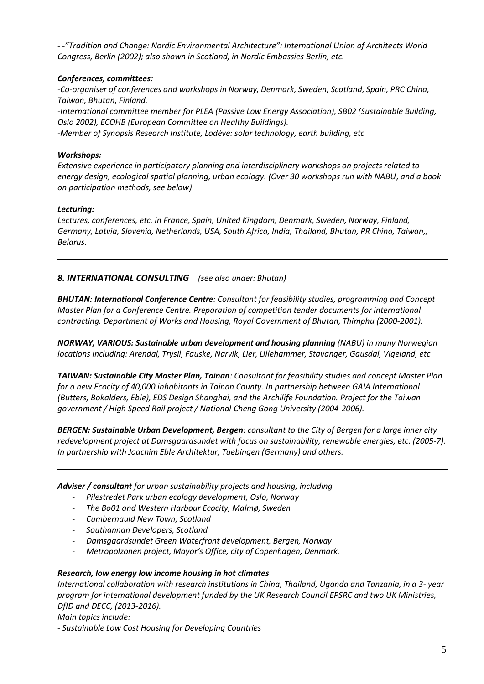*- -"Tradition and Change: Nordic Environmental Architecture": International Union of Architects World Congress, Berlin (2002); also shown in Scotland, in Nordic Embassies Berlin, etc.*

# *Conferences, committees:*

*-Co-organiser of conferences and workshops in Norway, Denmark, Sweden, Scotland, Spain, PRC China, Taiwan, Bhutan, Finland.*

*-International committee member for PLEA (Passive Low Energy Association), SB02 (Sustainable Building, Oslo 2002), ECOHB (European Committee on Healthy Buildings).*

*-Member of Synopsis Research Institute, Lodève: solar technology, earth building, etc*

### *Workshops:*

*Extensive experience in participatory planning and interdisciplinary workshops on projects related to energy design, ecological spatial planning, urban ecology. (Over 30 workshops run with NABU, and a book on participation methods, see below)*

# *Lecturing:*

*Lectures, conferences, etc. in France, Spain, United Kingdom, Denmark, Sweden, Norway, Finland, Germany, Latvia, Slovenia, Netherlands, USA, South Africa, India, Thailand, Bhutan, PR China, Taiwan,, Belarus.*

# *8. INTERNATIONAL CONSULTING (see also under: Bhutan)*

*BHUTAN: International Conference Centre: Consultant for feasibility studies, programming and Concept Master Plan for a Conference Centre. Preparation of competition tender documents for international contracting. Department of Works and Housing, Royal Government of Bhutan, Thimphu (2000-2001).*

*NORWAY, VARIOUS: Sustainable urban development and housing planning (NABU) in many Norwegian locations including: Arendal, Trysil, Fauske, Narvik, Lier, Lillehammer, Stavanger, Gausdal, Vigeland, etc*

*TAIWAN: Sustainable City Master Plan, Tainan: Consultant for feasibility studies and concept Master Plan for a new Ecocity of 40,000 inhabitants in Tainan County. In partnership between GAIA International (Butters, Bokalders, Eble), EDS Design Shanghai, and the Archilife Foundation. Project for the Taiwan government / High Speed Rail project / National Cheng Gong University (2004-2006).*

*BERGEN: Sustainable Urban Development, Bergen: consultant to the City of Bergen for a large inner city redevelopment project at Damsgaardsundet with focus on sustainability, renewable energies, etc. (2005-7). In partnership with Joachim Eble Architektur, Tuebingen (Germany) and others.*

*Adviser / consultant for urban sustainability projects and housing, including* 

- *Pilestredet Park urban ecology development, Oslo, Norway*
- *The Bo01 and Western Harbour Ecocity, Malmø, Sweden*
- *Cumbernauld New Town, Scotland*
- *Southannan Developers, Scotland*
- *Damsgaardsundet Green Waterfront development, Bergen, Norway*
- *Metropolzonen project, Mayor's Office, city of Copenhagen, Denmark.*

# *Research, low energy low income housing in hot climates*

*International collaboration with research institutions in China, Thailand, Uganda and Tanzania, in a 3- year program for international development funded by the UK Research Council EPSRC and two UK Ministries, DfID and DECC, (2013-2016).*

*Main topics include:*

*- Sustainable Low Cost Housing for Developing Countries*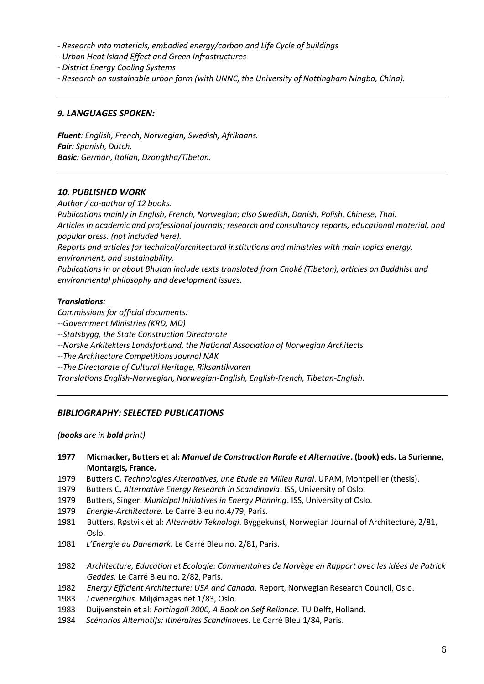*- Research into materials, embodied energy/carbon and Life Cycle of buildings*

*- Urban Heat Island Effect and Green Infrastructures*

*- District Energy Cooling Systems* 

*- Research on sustainable urban form (with UNNC, the University of Nottingham Ningbo, China).*

#### *9. LANGUAGES SPOKEN:*

*Fluent: English, French, Norwegian, Swedish, Afrikaans. Fair: Spanish, Dutch. Basic: German, Italian, Dzongkha/Tibetan.*

#### *10. PUBLISHED WORK*

*Author / co-author of 12 books.*

*Publications mainly in English, French, Norwegian; also Swedish, Danish, Polish, Chinese, Thai. Articles in academic and professional journals; research and consultancy reports, educational material, and popular press. (not included here).*

*Reports and articles for technical/architectural institutions and ministries with main topics energy, environment, and sustainability.* 

*Publications in or about Bhutan include texts translated from Choké (Tibetan), articles on Buddhist and environmental philosophy and development issues.*

#### *Translations:*

*Commissions for official documents:* 

*--Government Ministries (KRD, MD)*

*--Statsbygg, the State Construction Directorate*

*--Norske Arkitekters Landsforbund, the National Association of Norwegian Architects* 

*--The Architecture Competitions Journal NAK*

*--The Directorate of Cultural Heritage, Riksantikvaren*

*Translations English-Norwegian, Norwegian-English, English-French, Tibetan-English.*

# *BIBLIOGRAPHY: SELECTED PUBLICATIONS*

*(books are in bold print)*

- **1977 Micmacker, Butters et al:** *Manuel de Construction Rurale et Alternative***. (book) eds. La Surienne, Montargis, France.**
- 1979 Butters C, *Technologies Alternatives, une Etude en Milieu Rural*. UPAM, Montpellier (thesis).
- 1979 Butters C, *Alternative Energy Research in Scandinavia*. ISS, University of Oslo.
- 1979 Butters, Singer: *Municipal Initiatives in Energy Planning*. ISS, University of Oslo.
- 1979 *Energie-Architecture*. Le Carré Bleu no.4/79, Paris.
- 1981 Butters, Røstvik et al: *Alternativ Teknologi*. Byggekunst, Norwegian Journal of Architecture, 2/81, Oslo.
- 1981 *L'Energie au Danemark*. Le Carré Bleu no. 2/81, Paris.
- 1982 *Architecture, Education et Ecologie: Commentaires de Norvège en Rapport avec les Idées de Patrick Geddes*. Le Carré Bleu no. 2/82, Paris.
- 1982 *Energy Efficient Architecture: USA and Canada*. Report, Norwegian Research Council, Oslo.
- 1983 *Lavenergihus*. Miljømagasinet 1/83, Oslo.
- 1983 Duijvenstein et al: *Fortingall 2000, A Book on Self Reliance*. TU Delft, Holland.
- 1984 *Scénarios Alternatifs; Itinéraires Scandinaves*. Le Carré Bleu 1/84, Paris.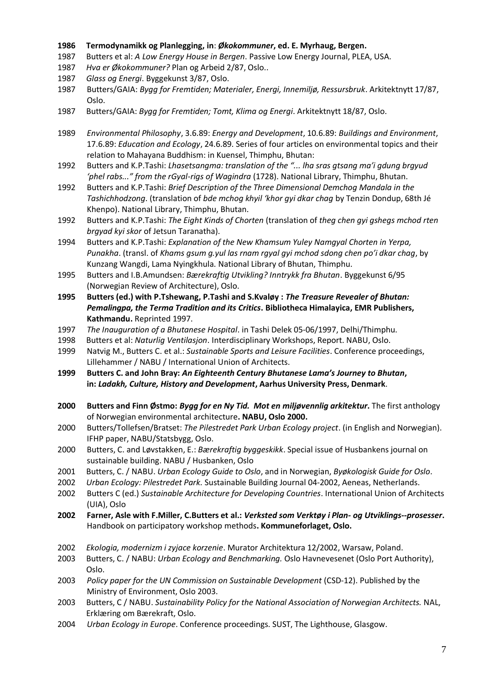#### **1986 Termodynamikk og Planlegging, in**: *Økokommuner***, ed. E. Myrhaug, Bergen.**

- 1987 Butters et al: *A Low Energy House in Bergen*. Passive Low Energy Journal, PLEA, USA.
- 1987 *Hva er Økokommuner?* Plan og Arbeid 2/87, Oslo..
- 1987 *Glass og Energi*. Byggekunst 3/87, Oslo.
- 1987 Butters/GAIA: *Bygg for Fremtiden; Materialer, Energi, Innemiljø, Ressursbruk*. Arkitektnytt 17/87, Oslo.
- 1987 Butters/GAIA: *Bygg for Fremtiden; Tomt, Klima og Energi*. Arkitektnytt 18/87, Oslo.
- 1989 *Environmental Philosophy*, 3.6.89: *Energy and Development*, 10.6.89: *Buildings and Environment*, 17.6.89: *Education and Ecology*, 24.6.89. Series of four articles on environmental topics and their relation to Mahayana Buddhism: in Kuensel, Thimphu, Bhutan:
- 1992 Butters and K.P.Tashi: *Lhasetsangma: translation of the "... lha sras gtsang ma'i gdung brgyud 'phel rabs..." from the rGyal-rigs of Wagindra* (1728). National Library, Thimphu, Bhutan.
- 1992 Butters and K.P.Tashi: *Brief Description of the Three Dimensional Demchog Mandala in the Tashichhodzong*. (translation of *bde mchog khyil 'khor gyi dkar chag* by Tenzin Dondup, 68th Jé Khenpo). National Library, Thimphu, Bhutan.
- 1992 Butters and K.P.Tashi: *The Eight Kinds of Chorten* (translation of *theg chen gyi gshegs mchod rten brgyad kyi skor* of Jetsun Taranatha).
- 1994 Butters and K.P.Tashi: *Explanation of the New Khamsum Yuley Namgyal Chorten in Yerpa, Punakha*. (transl. of *Khams gsum g.yul las rnam rgyal gyi mchod sdong chen po'i dkar chag*, by Kunzang Wangdi, Lama Nyingkhula. National Library of Bhutan, Thimphu.
- 1995 Butters and I.B.Amundsen: *Bærekraftig Utvikling? Inntrykk fra Bhutan*. Byggekunst 6/95 (Norwegian Review of Architecture), Oslo.
- **1995 Butters (ed.) with P.Tshewang, P.Tashi and S.Kvaløy :** *The Treasure Revealer of Bhutan: Pemalingpa, the Terma Tradition and its Critics***. Bibliotheca Himalayica, EMR Publishers, Kathmandu.** Reprinted 1997.
- 1997 *The Inauguration of a Bhutanese Hospital*. in Tashi Delek 05-06/1997, Delhi/Thimphu.
- 1998 Butters et al: *Naturlig Ventilasjon*. Interdisciplinary Workshops, Report. NABU, Oslo.
- 1999 Natvig M., Butters C. et al.: *Sustainable Sports and Leisure Facilities*. Conference proceedings, Lillehammer / NABU / International Union of Architects.
- **1999 Butters C. and John Bray:** *An Eighteenth Century Bhutanese Lama's Journey to Bhutan***, in:** *Ladakh, Culture, History and Development***, Aarhus University Press, Denmark**.
- **2000 Butters and Finn Østmo:** *Bygg for en Ny Tid. Mot en miljøvennlig arkitektur***.** The first anthology of Norwegian environmental architecture**. NABU, Oslo 2000.**
- 2000 Butters/Tollefsen/Bratset: *The Pilestredet Park Urban Ecology project*. (in English and Norwegian). IFHP paper, NABU/Statsbygg, Oslo.
- 2000 Butters, C. and Løvstakken, E.: *Bærekraftig byggeskikk*. Special issue of Husbankens journal on sustainable building. NABU / Husbanken, Oslo
- 2001 Butters, C. / NABU. *Urban Ecology Guide to Oslo*, and in Norwegian, *Byøkologisk Guide for Oslo*.
- 2002 *Urban Ecology: Pilestredet Park.* Sustainable Building Journal 04-2002, Aeneas, Netherlands.
- 2002 Butters C (ed.) *Sustainable Architecture for Developing Countries*. International Union of Architects (UIA), Oslo
- **2002 Farner, Asle with F.Miller, C.Butters et al.:** *Verksted som Verktøy i Plan- og Utviklings--prosesser***.**  Handbook on participatory workshop methods**. Kommuneforlaget, Oslo.**
- 2002 *Ekologia, modernizm i zyjace korzenie*. Murator Architektura 12/2002, Warsaw, Poland.
- 2003 Butters, C. / NABU: *Urban Ecology and Benchmarking.* Oslo Havnevesenet (Oslo Port Authority), Oslo.
- 2003 *Policy paper for the UN Commission on Sustainable Development* (CSD-12). Published by the Ministry of Environment, Oslo 2003.
- 2003 Butters, C / NABU. *Sustainability Policy for the National Association of Norwegian Architects.* NAL, Erklæring om Bærekraft, Oslo.
- 2004 *Urban Ecology in Europe*. Conference proceedings. SUST, The Lighthouse, Glasgow.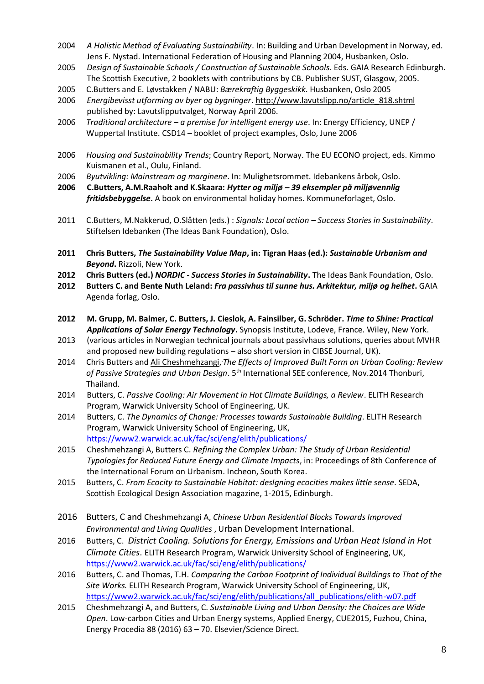- 2004 *A Holistic Method of Evaluating Sustainability*. In: Building and Urban Development in Norway, ed. Jens F. Nystad. International Federation of Housing and Planning 2004, Husbanken, Oslo.
- 2005 *Design of Sustainable Schools / Construction of Sustainable Schools*. Eds. GAIA Research Edinburgh. The Scottish Executive, 2 booklets with contributions by CB. Publisher SUST, Glasgow, 2005.
- 2005 C.Butters and E. Løvstakken / NABU: *Bærekraftig Byggeskikk*. Husbanken, Oslo 2005
- 2006 *Energibevisst utforming av byer og bygninger*[. http://www.lavutslipp.no/article\\_818.shtml](http://www.lavutslipp.no/article_818.shtml) published by: Lavutslipputvalget, Norway April 2006.
- 2006 *Traditional architecture – a premise for intelligent energy use*. In: Energy Efficiency, UNEP / Wuppertal Institute. CSD14 – booklet of project examples, Oslo, June 2006
- 2006 *Housing and Sustainability Trends*; Country Report, Norway. The EU ECONO project, eds. Kimmo Kuismanen et al., Oulu, Finland.
- 2006 *Byutvikling: Mainstream og marginene*. In: Mulighetsrommet. Idebankens årbok, Oslo.
- **2006 C.Butters, A.M.Raaholt and K.Skaara:** *Hytter og miljø – 39 eksempler på miljøvennlig fritidsbebyggelse***.** A book on environmental holiday homes**.** Kommuneforlaget, Oslo.
- 2011 C.Butters, M.Nakkerud, O.Slåtten (eds.) : *Signals: Local action – Success Stories in Sustainability*. Stiftelsen Idebanken (The Ideas Bank Foundation), Oslo.
- **2011 Chris Butters,** *The Sustainability Value Map***, in: Tigran Haas (ed.):** *Sustainable Urbanism and Beyond***.** Rizzoli, New York.
- **2012 Chris Butters (ed.)** *NORDIC - Success Stories in Sustainability***.** The Ideas Bank Foundation, Oslo.
- **2012 Butters C. and Bente Nuth Leland:** *Fra passivhus til sunne hus. Arkitektur, miljø og helhet***.** GAIA Agenda forlag, Oslo.
- **2012 M. Grupp, M. Balmer, C. Butters, J. Cieslok, A. Fainsilber, G. Schröder.** *Time to Shine: Practical Applications of Solar Energy Technology***.** Synopsis Institute, Lodeve, France. Wiley, New York.
- 2013 (various articles in Norwegian technical journals about passivhaus solutions, queries about MVHR and proposed new building regulations – also short version in CIBSE Journal, UK).
- 2014 Chris Butters and Ali Cheshmehzangi, The Effects of Improved Built Form on Urban Cooling: Review of Passive Strategies and Urban Design. 5<sup>th</sup> International SEE conference, Nov.2014 Thonburi, Thailand.
- 2014 Butters, C. *Passive Cooling: Air Movement in Hot Climate Buildings, a Review*. ELITH Research Program, Warwick University School of Engineering, UK.
- 2014 Butters, C. *The Dynamics of Change: Processes towards Sustainable Building*. ELITH Research Program, Warwick University School of Engineering, UK, <https://www2.warwick.ac.uk/fac/sci/eng/elith/publications/>
- 2015 Cheshmehzangi A, Butters C. *Refining the Complex Urban: The Study of Urban Residential Typologies for Reduced Future Energy and Climate Impacts*, in: Proceedings of 8th Conference of the International Forum on Urbanism. Incheon, South Korea.
- 2015 Butters, C. *From Ecocity to Sustainable Habitat: desIgning ecocities makes little sense*. SEDA, Scottish Ecological Design Association magazine, 1-2015, Edinburgh.
- 2016 Butters, C and Cheshmehzangi A, *Chinese Urban Residential Blocks Towards Improved Environmental and Living Qualities* , Urban Development International.
- 2016 Butters, C. *District Cooling. Solutions for Energy, Emissions and Urban Heat Island in Hot Climate Cities*. ELITH Research Program, Warwick University School of Engineering, UK, <https://www2.warwick.ac.uk/fac/sci/eng/elith/publications/>
- 2016 Butters, C. and Thomas, T.H. *Comparing the Carbon Footprint of Individual Buildings to That of the Site Works.* ELITH Research Program, Warwick University School of Engineering, UK, [https://www2.warwick.ac.uk/fac/sci/eng/elith/publications/all\\_publications/elith-w07.pdf](https://www2.warwick.ac.uk/fac/sci/eng/elith/publications/all_publications/elith-w07.pdf)
- 2015 Cheshmehzangi A, and Butters, C. *Sustainable Living and Urban Density: the Choices are Wide Open*. Low-carbon Cities and Urban Energy systems, Applied Energy, CUE2015, Fuzhou, China, Energy Procedia 88 (2016) 63 – 70. Elsevier/Science Direct.